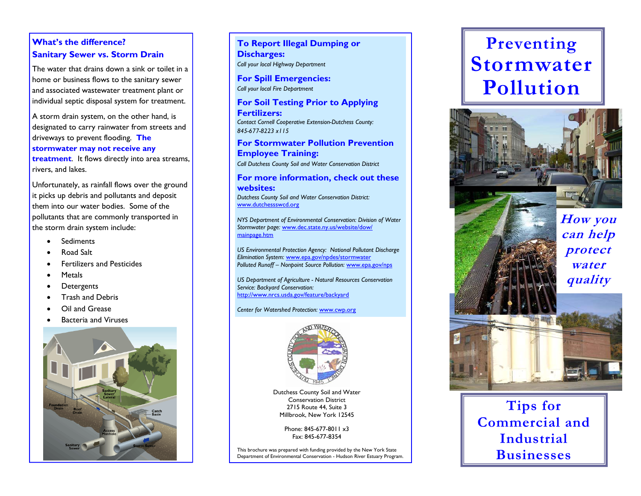# **What's the difference? Sanitary Sewer vs. Storm Drain**

The water that drains down a sink or toilet in a home or business flows to the sanitary sewer and associated wastewater treatment plant or individual septic disposal system for treatment.

A storm drain system, on the other hand, is designated to carry rainwater from streets and driveways to prevent flooding. **The stormwater may not receive any treatment**. It flows directly into area streams, rivers, and lakes.

Unfortunately, as rainfall flows over the ground it picks up debris and pollutants and deposit them into our water bodies. Some of the pollutants that are commonly transported in the storm drain system include:

- Sediments
- Road Salt
- Fertilizers and Pesticides
- Metals
- Detergents
- Trash and Debris
- Oil and Grease
- Bacteria and Viruses



# **To Report Illegal Dumping or Discharges:**  *Call your local Highway Department*

**For Spill Emergencies:**  *Call your local Fire Department* 

# **For Soil Testing Prior to Applying Fertilizers:**

*Contact Cornell Cooperative Extension-Dutchess County: 845-677-8223 x115* 

# **For Stormwater Pollution Prevention Employee Training:**

*Call Dutchess County Soil and Water Conservation District* 

# **For more information, check out these websites:**

*Dutchess County Soil and Water Conservation District:*  www.dutchessswcd.org

*NYS Department of Environmental Conservation: Division of Water Stormwater page:* www.dec.state.ny.us/website/dow/ mainpage.htm

*US Environmental Protection Agency: National Pollutant Discharge Elimination System:* www.epa.gov/npdes/stormwater *Polluted Runoff – Nonpoint Source Pollution:* www.epa.gov/nps

*US Department of Agriculture - Natural Resources Conservation Service: Backyard Conservation:*  http://www.nrcs.usda.gov/feature/backyard

#### *Center for Watershed Protection:* www.cwp.org



Dutchess County Soil and Water Conservation District 2715 Route 44, Suite 3 Millbrook, New York 12545

> Phone: 845-677-8011 x3 Fax: 845-677-8354

This brochure was prepared with funding provided by the New York State Department of Environmental Conservation - Hudson River Estuary Program.

# **Preventing Stormwater Pollution**





**How you can help protect water quality** 



**Tips for Commercial and Industrial Businesses**